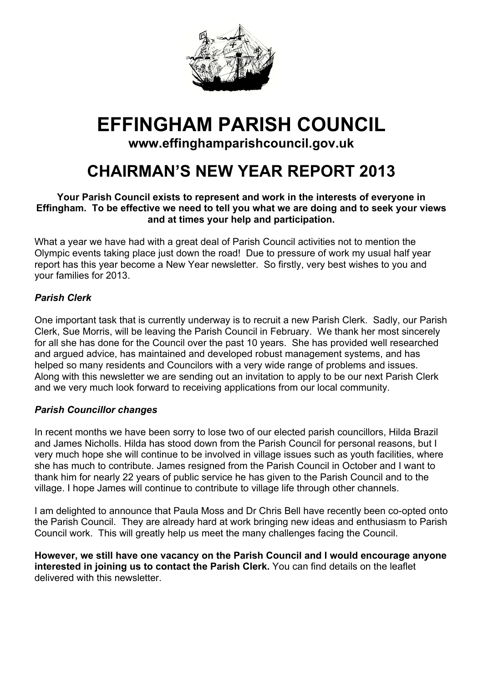

# **EFFINGHAM PARISH COUNCIL**

# **www.effinghamparishcouncil.gov.uk**

# **CHAIRMAN'S NEW YEAR REPORT 2013**

#### **Your Parish Council exists to represent and work in the interests of everyone in Effingham. To be effective we need to tell you what we are doing and to seek your views and at times your help and participation.**

What a year we have had with a great deal of Parish Council activities not to mention the Olympic events taking place just down the road! Due to pressure of work my usual half year report has this year become a New Year newsletter. So firstly, very best wishes to you and your families for 2013.

# *Parish Clerk*

One important task that is currently underway is to recruit a new Parish Clerk. Sadly, our Parish Clerk, Sue Morris, will be leaving the Parish Council in February. We thank her most sincerely for all she has done for the Council over the past 10 years. She has provided well researched and argued advice, has maintained and developed robust management systems, and has helped so many residents and Councilors with a very wide range of problems and issues. Along with this newsletter we are sending out an invitation to apply to be our next Parish Clerk and we very much look forward to receiving applications from our local community.

### *Parish Councillor changes*

In recent months we have been sorry to lose two of our elected parish councillors, Hilda Brazil and James Nicholls. Hilda has stood down from the Parish Council for personal reasons, but I very much hope she will continue to be involved in village issues such as youth facilities, where she has much to contribute. James resigned from the Parish Council in October and I want to thank him for nearly 22 years of public service he has given to the Parish Council and to the village. I hope James will continue to contribute to village life through other channels.

I am delighted to announce that Paula Moss and Dr Chris Bell have recently been co-opted onto the Parish Council. They are already hard at work bringing new ideas and enthusiasm to Parish Council work. This will greatly help us meet the many challenges facing the Council.

**However, we still have one vacancy on the Parish Council and I would encourage anyone interested in joining us to contact the Parish Clerk.** You can find details on the leaflet delivered with this newsletter.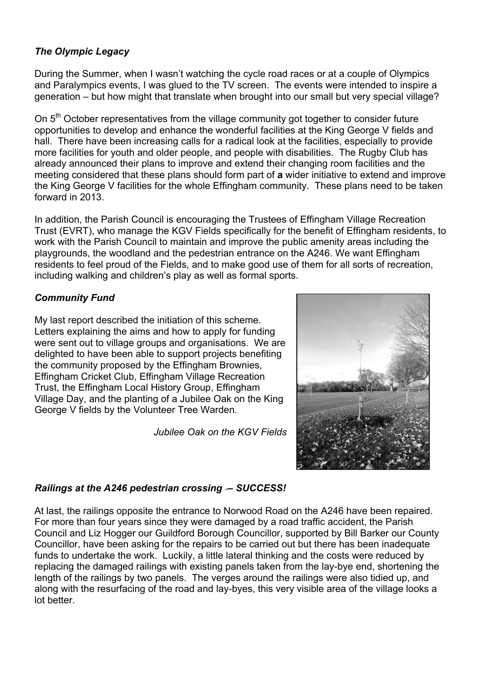# *The Olympic Legacy*

During the Summer, when I wasn't watching the cycle road races or at a couple of Olympics and Paralympics events, I was glued to the TV screen. The events were intended to inspire a generation – but how might that translate when brought into our small but very special village?

On 5<sup>th</sup> October representatives from the village community got together to consider future opportunities to develop and enhance the wonderful facilities at the King George V fields and hall. There have been increasing calls for a radical look at the facilities, especially to provide more facilities for youth and older people, and people with disabilities. The Rugby Club has already announced their plans to improve and extend their changing room facilities and the meeting considered that these plans should form part of **a** wider initiative to extend and improve the King George V facilities for the whole Effingham community. These plans need to be taken forward in 2013.

In addition, the Parish Council is encouraging the Trustees of Effingham Village Recreation Trust (EVRT), who manage the KGV Fields specifically for the benefit of Effingham residents, to work with the Parish Council to maintain and improve the public amenity areas including the playgrounds, the woodland and the pedestrian entrance on the A246. We want Effingham residents to feel proud of the Fields, and to make good use of them for all sorts of recreation, including walking and children's play as well as formal sports.

# *Community Fund*

My last report described the initiation of this scheme. Letters explaining the aims and how to apply for funding were sent out to village groups and organisations. We are delighted to have been able to support projects benefiting the community proposed by the Effingham Brownies, Effingham Cricket Club, Effingham Village Recreation Trust, the Effingham Local History Group, Effingham Village Day, and the planting of a Jubilee Oak on the King George V fields by the Volunteer Tree Warden.

*Jubilee Oak on the KGV Fields*



# *Railings at the A246 pedestrian crossing – SUCCESS!*

At last, the railings opposite the entrance to Norwood Road on the A246 have been repaired. For more than four years since they were damaged by a road traffic accident, the Parish Council and Liz Hogger our Guildford Borough Councillor, supported by Bill Barker our County Councillor, have been asking for the repairs to be carried out but there has been inadequate funds to undertake the work. Luckily, a little lateral thinking and the costs were reduced by replacing the damaged railings with existing panels taken from the lay-bye end, shortening the length of the railings by two panels. The verges around the railings were also tidied up, and along with the resurfacing of the road and lay-byes, this very visible area of the village looks a lot better.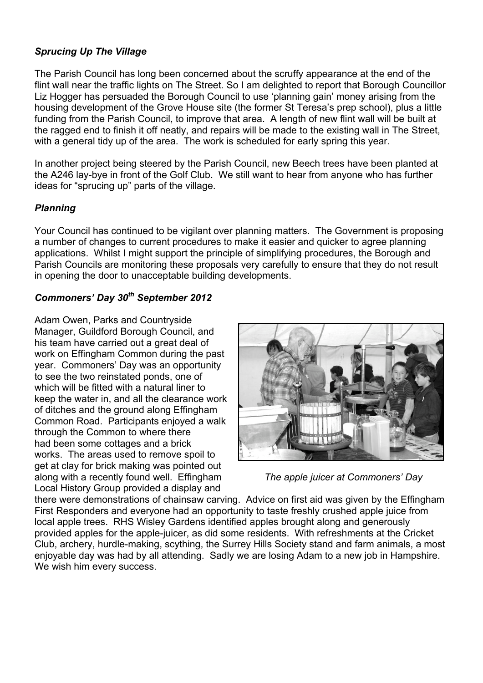# *Sprucing Up The Village*

The Parish Council has long been concerned about the scruffy appearance at the end of the flint wall near the traffic lights on The Street. So I am delighted to report that Borough Councillor Liz Hogger has persuaded the Borough Council to use 'planning gain' money arising from the housing development of the Grove House site (the former St Teresa's prep school), plus a little funding from the Parish Council, to improve that area. A length of new flint wall will be built at the ragged end to finish it off neatly, and repairs will be made to the existing wall in The Street, with a general tidy up of the area. The work is scheduled for early spring this year.

In another project being steered by the Parish Council, new Beech trees have been planted at the A246 lay-bye in front of the Golf Club. We still want to hear from anyone who has further ideas for "sprucing up" parts of the village.

### *Planning*

Your Council has continued to be vigilant over planning matters. The Government is proposing a number of changes to current procedures to make it easier and quicker to agree planning applications. Whilst I might support the principle of simplifying procedures, the Borough and Parish Councils are monitoring these proposals very carefully to ensure that they do not result in opening the door to unacceptable building developments.

# *Commoners' Day 30th September 2012*

Adam Owen, Parks and Countryside Manager, Guildford Borough Council, and his team have carried out a great deal of work on Effingham Common during the past year. Commoners' Day was an opportunity to see the two reinstated ponds, one of which will be fitted with a natural liner to keep the water in, and all the clearance work of ditches and the ground along Effingham Common Road. Participants enjoyed a walk through the Common to where there had been some cottages and a brick works. The areas used to remove spoil to get at clay for brick making was pointed out along with a recently found well. Effingham *The apple juicer at Commoners' Day* Local History Group provided a display and



there were demonstrations of chainsaw carving. Advice on first aid was given by the Effingham First Responders and everyone had an opportunity to taste freshly crushed apple juice from local apple trees. RHS Wisley Gardens identified apples brought along and generously provided apples for the apple-juicer, as did some residents. With refreshments at the Cricket Club, archery, hurdle-making, scything, the Surrey Hills Society stand and farm animals, a most enjoyable day was had by all attending. Sadly we are losing Adam to a new job in Hampshire. We wish him every success.